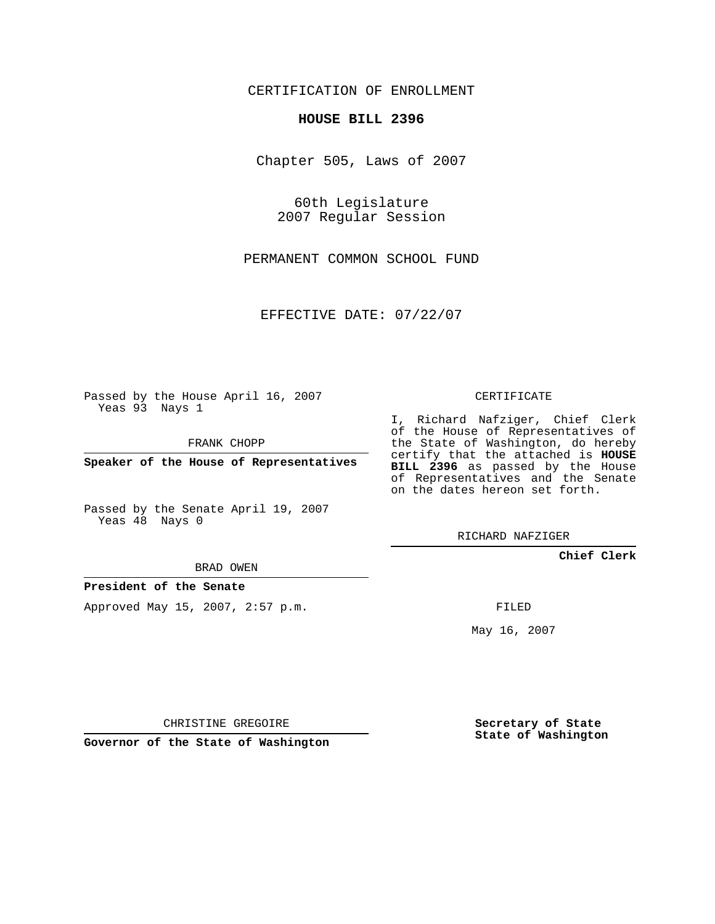CERTIFICATION OF ENROLLMENT

## **HOUSE BILL 2396**

Chapter 505, Laws of 2007

60th Legislature 2007 Regular Session

PERMANENT COMMON SCHOOL FUND

EFFECTIVE DATE: 07/22/07

Passed by the House April 16, 2007 Yeas 93 Nays 1

FRANK CHOPP

**Speaker of the House of Representatives**

Passed by the Senate April 19, 2007 Yeas 48 Nays 0

BRAD OWEN

**President of the Senate**

Approved May 15, 2007, 2:57 p.m.

CERTIFICATE

I, Richard Nafziger, Chief Clerk of the House of Representatives of the State of Washington, do hereby certify that the attached is **HOUSE BILL 2396** as passed by the House of Representatives and the Senate on the dates hereon set forth.

RICHARD NAFZIGER

**Chief Clerk**

FILED

May 16, 2007

**Secretary of State State of Washington**

CHRISTINE GREGOIRE

**Governor of the State of Washington**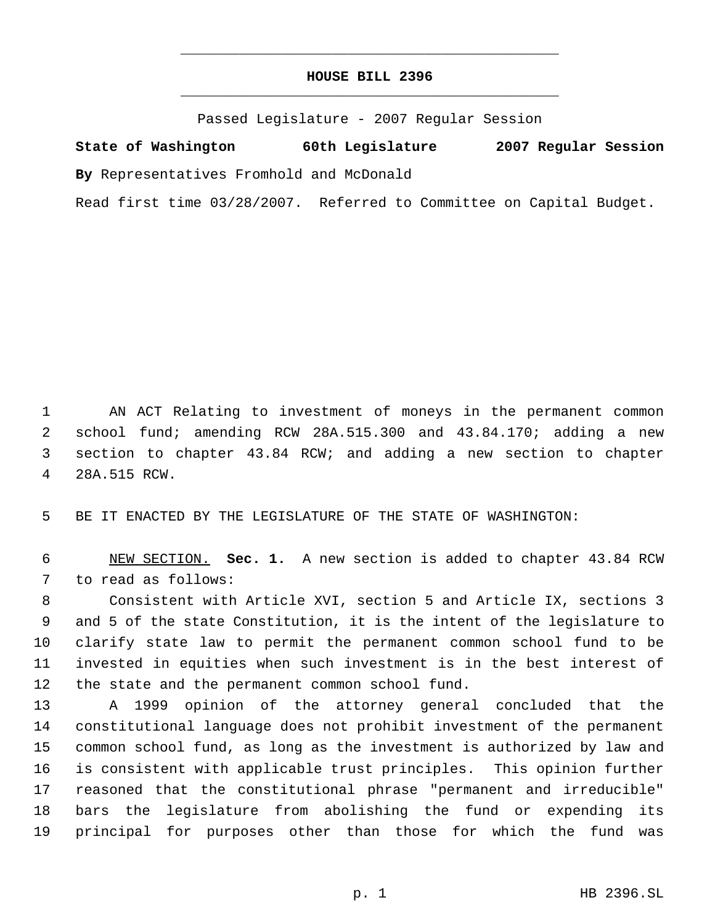## **HOUSE BILL 2396** \_\_\_\_\_\_\_\_\_\_\_\_\_\_\_\_\_\_\_\_\_\_\_\_\_\_\_\_\_\_\_\_\_\_\_\_\_\_\_\_\_\_\_\_\_

\_\_\_\_\_\_\_\_\_\_\_\_\_\_\_\_\_\_\_\_\_\_\_\_\_\_\_\_\_\_\_\_\_\_\_\_\_\_\_\_\_\_\_\_\_

Passed Legislature - 2007 Regular Session

**State of Washington 60th Legislature 2007 Regular Session By** Representatives Fromhold and McDonald

Read first time 03/28/2007. Referred to Committee on Capital Budget.

 AN ACT Relating to investment of moneys in the permanent common school fund; amending RCW 28A.515.300 and 43.84.170; adding a new section to chapter 43.84 RCW; and adding a new section to chapter 28A.515 RCW.

BE IT ENACTED BY THE LEGISLATURE OF THE STATE OF WASHINGTON:

 NEW SECTION. **Sec. 1.** A new section is added to chapter 43.84 RCW to read as follows:

 Consistent with Article XVI, section 5 and Article IX, sections 3 and 5 of the state Constitution, it is the intent of the legislature to clarify state law to permit the permanent common school fund to be invested in equities when such investment is in the best interest of the state and the permanent common school fund.

 A 1999 opinion of the attorney general concluded that the constitutional language does not prohibit investment of the permanent common school fund, as long as the investment is authorized by law and is consistent with applicable trust principles. This opinion further reasoned that the constitutional phrase "permanent and irreducible" bars the legislature from abolishing the fund or expending its principal for purposes other than those for which the fund was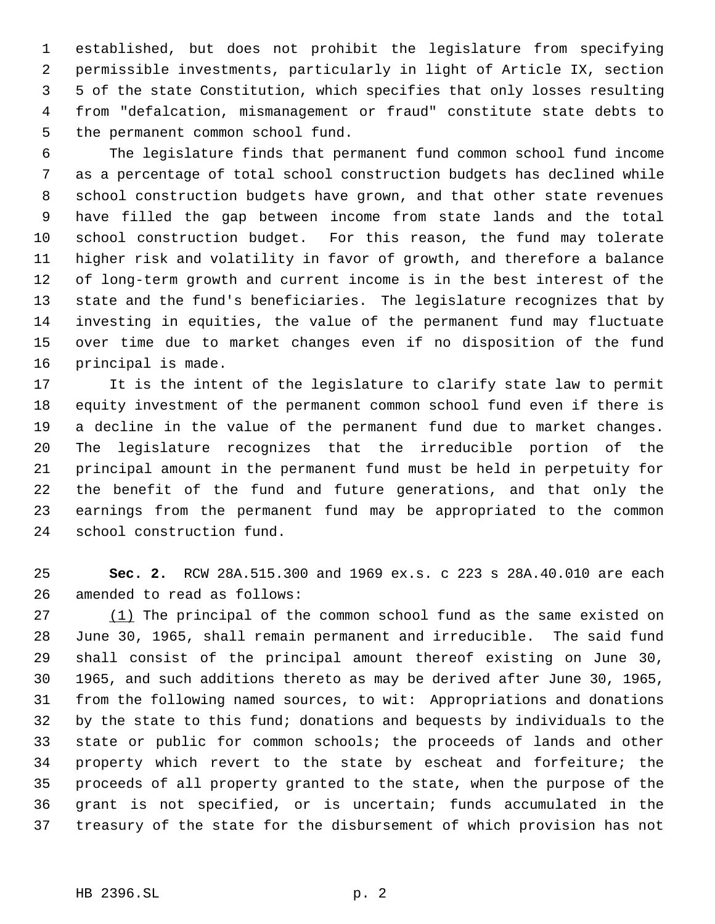established, but does not prohibit the legislature from specifying permissible investments, particularly in light of Article IX, section 5 of the state Constitution, which specifies that only losses resulting from "defalcation, mismanagement or fraud" constitute state debts to the permanent common school fund.

 The legislature finds that permanent fund common school fund income as a percentage of total school construction budgets has declined while school construction budgets have grown, and that other state revenues have filled the gap between income from state lands and the total school construction budget. For this reason, the fund may tolerate higher risk and volatility in favor of growth, and therefore a balance of long-term growth and current income is in the best interest of the state and the fund's beneficiaries. The legislature recognizes that by investing in equities, the value of the permanent fund may fluctuate over time due to market changes even if no disposition of the fund principal is made.

 It is the intent of the legislature to clarify state law to permit equity investment of the permanent common school fund even if there is a decline in the value of the permanent fund due to market changes. The legislature recognizes that the irreducible portion of the principal amount in the permanent fund must be held in perpetuity for the benefit of the fund and future generations, and that only the earnings from the permanent fund may be appropriated to the common school construction fund.

 **Sec. 2.** RCW 28A.515.300 and 1969 ex.s. c 223 s 28A.40.010 are each amended to read as follows:

27 (1) The principal of the common school fund as the same existed on June 30, 1965, shall remain permanent and irreducible. The said fund shall consist of the principal amount thereof existing on June 30, 1965, and such additions thereto as may be derived after June 30, 1965, from the following named sources, to wit: Appropriations and donations by the state to this fund; donations and bequests by individuals to the state or public for common schools; the proceeds of lands and other property which revert to the state by escheat and forfeiture; the proceeds of all property granted to the state, when the purpose of the grant is not specified, or is uncertain; funds accumulated in the treasury of the state for the disbursement of which provision has not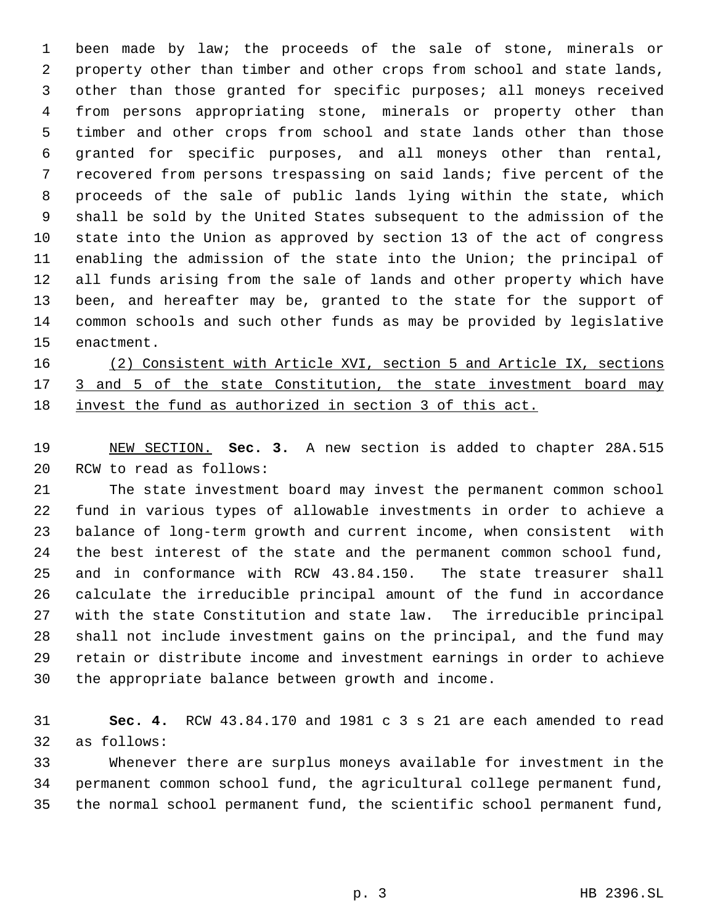been made by law; the proceeds of the sale of stone, minerals or property other than timber and other crops from school and state lands, other than those granted for specific purposes; all moneys received from persons appropriating stone, minerals or property other than timber and other crops from school and state lands other than those granted for specific purposes, and all moneys other than rental, recovered from persons trespassing on said lands; five percent of the proceeds of the sale of public lands lying within the state, which shall be sold by the United States subsequent to the admission of the state into the Union as approved by section 13 of the act of congress enabling the admission of the state into the Union; the principal of all funds arising from the sale of lands and other property which have been, and hereafter may be, granted to the state for the support of common schools and such other funds as may be provided by legislative enactment.

 (2) Consistent with Article XVI, section 5 and Article IX, sections 17 3 and 5 of the state Constitution, the state investment board may invest the fund as authorized in section 3 of this act.

 NEW SECTION. **Sec. 3.** A new section is added to chapter 28A.515 RCW to read as follows:

 The state investment board may invest the permanent common school fund in various types of allowable investments in order to achieve a balance of long-term growth and current income, when consistent with the best interest of the state and the permanent common school fund, and in conformance with RCW 43.84.150. The state treasurer shall calculate the irreducible principal amount of the fund in accordance with the state Constitution and state law. The irreducible principal shall not include investment gains on the principal, and the fund may retain or distribute income and investment earnings in order to achieve the appropriate balance between growth and income.

 **Sec. 4.** RCW 43.84.170 and 1981 c 3 s 21 are each amended to read as follows:

 Whenever there are surplus moneys available for investment in the permanent common school fund, the agricultural college permanent fund, the normal school permanent fund, the scientific school permanent fund,